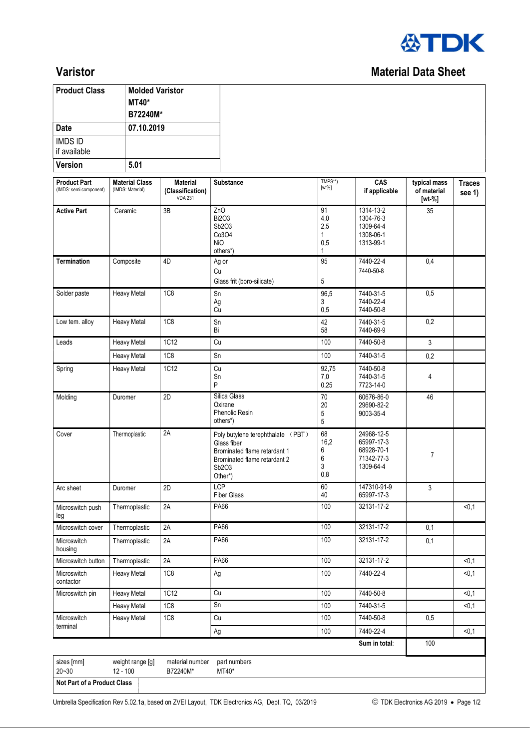

## **Varistor** Material Data Sheet

| <b>Product Class</b> | <b>Molded Varistor</b><br><b>MT40*</b><br>B72240M* |
|----------------------|----------------------------------------------------|
| Date                 | 07.10.2019                                         |
| <b>IMDS ID</b>       |                                                    |
| if available         |                                                    |
| Version              | 5.01                                               |

| <b>Product Part</b><br>(IMDS: semi component) | <b>Material Class</b><br>(IMDS: Material) | <b>Material</b><br>(Classification)<br><b>VDA 231</b> | <b>Substance</b>                                                                                                                     | TMPS**)<br>$[wt\%]$                                               | CAS<br>if applicable                                                   | typical mass<br>of material<br>[wt %] | <b>Traces</b><br>see 1) |  |
|-----------------------------------------------|-------------------------------------------|-------------------------------------------------------|--------------------------------------------------------------------------------------------------------------------------------------|-------------------------------------------------------------------|------------------------------------------------------------------------|---------------------------------------|-------------------------|--|
| <b>Active Part</b>                            | Ceramic                                   | 3B                                                    | ZnO<br><b>Bi2O3</b><br>Sb2O3<br>Co3O4<br><b>NiO</b><br>others*)                                                                      | 91<br>4,0<br>2,5<br>1<br>0,5<br>1                                 | 1314-13-2<br>1304-76-3<br>1309-64-4<br>1308-06-1<br>1313-99-1          | 35                                    |                         |  |
| <b>Termination</b>                            | Composite                                 | 4D                                                    | Ag or<br>Cu<br>Glass frit (boro-silicate)                                                                                            | 95<br>5                                                           | 7440-22-4<br>7440-50-8                                                 | 0,4                                   |                         |  |
| Solder paste                                  | <b>Heavy Metal</b>                        | <b>1C8</b>                                            | Sn<br>Ag<br>Cu                                                                                                                       | 96,5<br>3<br>0,5                                                  | 7440-31-5<br>7440-22-4<br>7440-50-8                                    | 0,5                                   |                         |  |
| Low tem. alloy                                | <b>Heavy Metal</b>                        | <b>1C8</b>                                            | Sn<br>Bi                                                                                                                             | 42<br>58                                                          | 7440-31-5<br>7440-69-9                                                 | 0.2                                   |                         |  |
| Leads                                         | <b>Heavy Metal</b>                        | 1C12                                                  | Cu                                                                                                                                   | 100                                                               | 7440-50-8                                                              | 3                                     |                         |  |
|                                               | <b>Heavy Metal</b>                        | 1C8                                                   | Sn                                                                                                                                   | 100                                                               | 7440-31-5                                                              | 0,2                                   |                         |  |
| Spring                                        | <b>Heavy Metal</b>                        | 1C12                                                  | Cu<br>Sn<br>P                                                                                                                        | 92,75<br>7,0<br>0,25                                              | 7440-50-8<br>7440-31-5<br>4<br>7723-14-0                               |                                       |                         |  |
| Molding                                       | Duromer                                   | 2D                                                    | Silica Glass<br>Oxirane<br>Phenolic Resin<br>others*)                                                                                | 60676-86-0<br>46<br>70<br>20<br>29690-82-2<br>9003-35-4<br>5<br>5 |                                                                        |                                       |                         |  |
| Cover                                         | Thermoplastic                             | 2A                                                    | Poly butylene terephthalate (PBT)<br>Glass fiber<br>Brominated flame retardant 1<br>Brominated flame retardant 2<br>Sb2O3<br>Other*) | 68<br>16,2<br>6<br>6<br>3<br>0,8                                  | 24968-12-5<br>65997-17-3<br>68928-70-1<br>7<br>71342-77-3<br>1309-64-4 |                                       |                         |  |
| Arc sheet                                     | Duromer                                   | 2D                                                    | <b>LCP</b><br><b>Fiber Glass</b>                                                                                                     | 60<br>40                                                          | 147310-91-9<br>65997-17-3                                              | 3                                     |                         |  |
| Microswitch push<br>leg                       | Thermoplastic                             | 2A                                                    | PA66                                                                                                                                 | 100                                                               | 32131-17-2                                                             |                                       | < 0.1                   |  |
| Microswitch cover                             | Thermoplastic                             | 2A                                                    | PA66                                                                                                                                 | 100                                                               | 32131-17-2                                                             | 0,1                                   |                         |  |
| Microswitch<br>housing                        | Thermoplastic                             | 2A                                                    | PA66                                                                                                                                 | 100                                                               | 32131-17-2                                                             | 0,1                                   |                         |  |
| Microswitch button                            | Thermoplastic                             | 2A                                                    | PA66                                                                                                                                 | 100                                                               | 32131-17-2                                                             |                                       | < 0.1                   |  |
| Microswitch<br>contactor                      | <b>Heavy Metal</b>                        | 1C <sub>8</sub>                                       | Ag                                                                                                                                   | 100                                                               | 7440-22-4                                                              |                                       | < 0, 1                  |  |
| Microswitch pin                               | <b>Heavy Metal</b>                        | 1C12                                                  | Cu                                                                                                                                   | 100                                                               | 7440-50-8                                                              |                                       | < 0, 1                  |  |
|                                               | <b>Heavy Metal</b>                        | 1C8                                                   | $\overline{\text{Sn}}$                                                                                                               | 100                                                               | 7440-31-5                                                              |                                       | < 0, 1                  |  |
| Microswitch                                   | <b>Heavy Metal</b>                        | 1C8                                                   | Cu                                                                                                                                   | 100                                                               | 7440-50-8                                                              | 0,5                                   |                         |  |
| terminal                                      |                                           |                                                       | Ag                                                                                                                                   | 100                                                               | 7440-22-4                                                              |                                       | $\overline{50,1}$       |  |
|                                               |                                           |                                                       |                                                                                                                                      |                                                                   | Sum in total:                                                          | 100                                   |                         |  |
| sizes [mm]<br>$20 - 30$                       | weight range [g]<br>$12 - 100$            | material number<br>B72240M*                           | part numbers<br>MT40*                                                                                                                |                                                                   |                                                                        |                                       |                         |  |

Umbrella Specification Rev 5.02.1a, based on ZVEI Layout, TDK Electronics AG, Dept. TQ, 03/2019 TOK Electronics AG 2019 . Page 1/2

Not Part of a Product Class